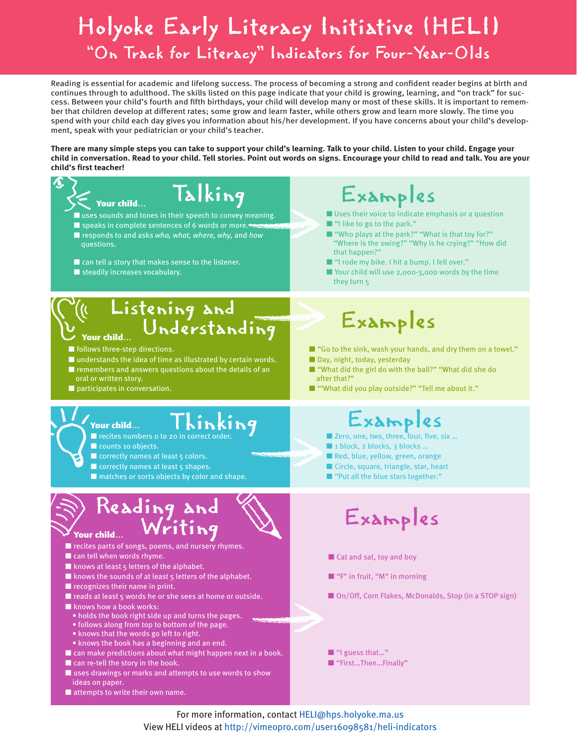## Holyoke Early Literacy Initiative (HELI) "On Track for Literacy" Indicators for Four-Year-Olds

Reading is essential for academic and lifelong success. The process of becoming a strong and confident reader begins at birth and continues through to adulthood. The skills listed on this page indicate that your child is growing, learning, and "on track" for success. Between your child's fourth and fifth birthdays, your child will develop many or most of these skills. It is important to remember that children develop at different rates; some grow and learn faster, while others grow and learn more slowly. The time you spend with your child each day gives you information about his/her development. If you have concerns about your child's development, speak with your pediatrician or your child's teacher.

**There are many simple steps you can take to support your child's learning. Talk to your child. Listen to your child. Engage your child in conversation. Read to your child. Tell stories. Point out words on signs. Encourage your child to read and talk. You are your child's first teacher!**



For more information, contact HELI@hps.holyoke.ma.us View HELI videos at http://vimeopro.com/user16098581/heli-indicators